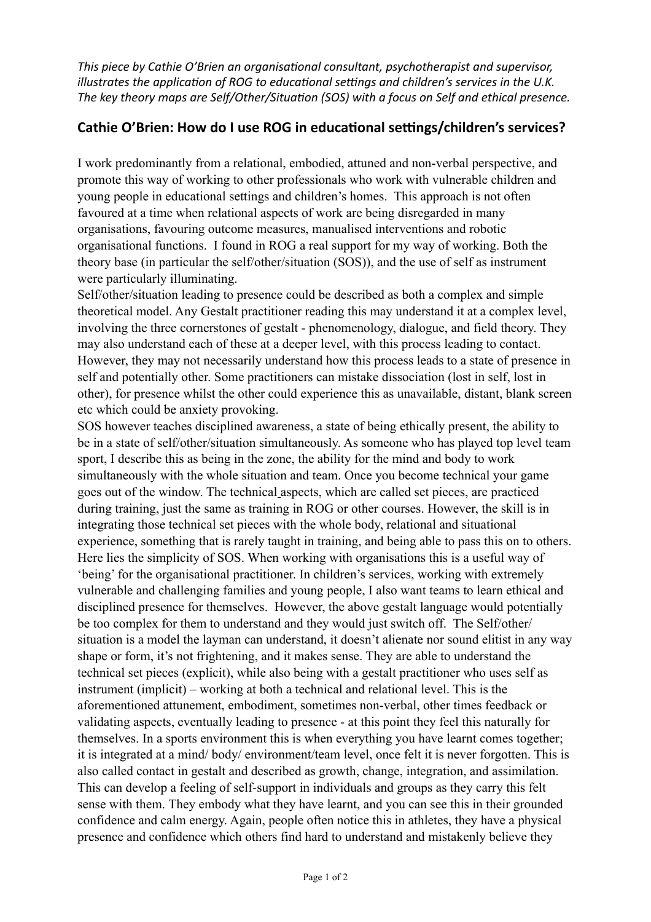*This piece by Cathie O'Brien an organisational consultant, psychotherapist and supervisor, illustrates the application of ROG to educational settings and children's services in the U.K.* The key theory maps are Self/Other/Situation (SOS) with a focus on Self and ethical presence.

## Cathie O'Brien: How do I use ROG in educational settings/children's services?

I work predominantly from a relational, embodied, attuned and non-verbal perspective, and promote this way of working to other professionals who work with vulnerable children and young people in educational settings and children's homes. This approach is not often favoured at a time when relational aspects of work are being disregarded in many organisations, favouring outcome measures, manualised interventions and robotic organisational functions. I found in ROG a real support for my way of working. Both the theory base (in particular the self/other/situation (SOS)), and the use of self as instrument were particularly illuminating.

Self/other/situation leading to presence could be described as both a complex and simple theoretical model. Any Gestalt practitioner reading this may understand it at a complex level, involving the three cornerstones of gestalt - phenomenology, dialogue, and field theory. They may also understand each of these at a deeper level, with this process leading to contact. However, they may not necessarily understand how this process leads to a state of presence in self and potentially other. Some practitioners can mistake dissociation (lost in self, lost in other), for presence whilst the other could experience this as unavailable, distant, blank screen etc which could be anxiety provoking.

SOS however teaches disciplined awareness, a state of being ethically present, the ability to be in a state of self/other/situation simultaneously. As someone who has played top level team sport, I describe this as being in the zone, the ability for the mind and body to work simultaneously with the whole situation and team. Once you become technical your game goes out of the window. The technical aspects, which are called set pieces, are practiced during training, just the same as training in ROG or other courses. However, the skill is in integrating those technical set pieces with the whole body, relational and situational experience, something that is rarely taught in training, and being able to pass this on to others. Here lies the simplicity of SOS. When working with organisations this is a useful way of 'being' for the organisational practitioner. In children's services, working with extremely vulnerable and challenging families and young people, I also want teams to learn ethical and disciplined presence for themselves. However, the above gestalt language would potentially be too complex for them to understand and they would just switch off. The Self/other/ situation is a model the layman can understand, it doesn't alienate nor sound elitist in any way shape or form, it's not frightening, and it makes sense. They are able to understand the technical set pieces (explicit), while also being with a gestalt practitioner who uses self as instrument (implicit) – working at both a technical and relational level. This is the aforementioned attunement, embodiment, sometimes non-verbal, other times feedback or validating aspects, eventually leading to presence - at this point they feel this naturally for themselves. In a sports environment this is when everything you have learnt comes together; it is integrated at a mind/ body/ environment/team level, once felt it is never forgotten. This is also called contact in gestalt and described as growth, change, integration, and assimilation. This can develop a feeling of self-support in individuals and groups as they carry this felt sense with them. They embody what they have learnt, and you can see this in their grounded confidence and calm energy. Again, people often notice this in athletes, they have a physical presence and confidence which others find hard to understand and mistakenly believe they